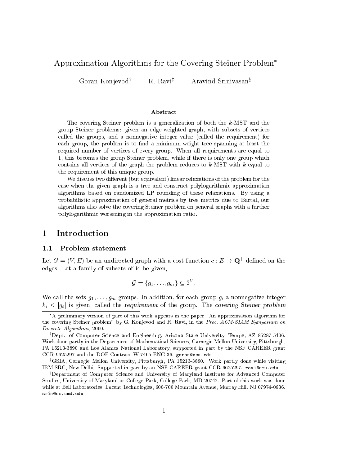# Approximation Algorithms for the Covering Steiner Problem

Goran Konjevod<sup>†</sup> R. Ravi<sup>‡</sup> Aravind Srinivasan<sup>§</sup>

#### **Abstract**

The overing Steiner problem is <sup>a</sup> generalization of both the k-MST and the group Steiner problems: given an engineer graphs, with subsets of vertical alled the groups, and <sup>a</sup> nonnegative integer value (
alled the requirement) for easing group, the problem is to minimum-weight trees spanning, at least the required number of verti
es of every group. When all requirements are equal to 1, this be
omes the group Steiner problem, while if there is only one group whi
h ontains all verti
es of the graph the problem redu
es to k-MST with <sup>k</sup> equal to the requirement of this unique group.

we discuss the discussion of the problem for the problem for the problem for the problem for the problem for the  $\mu$ ase when the given graph is <sup>a</sup> tree and onstru
t polylogarithmi approximation algorithms based on randomized LP rounding of these relaxations. By using <sup>a</sup> probabilistic of probabilities of general metricial of trees metrics and the metric our control algorithms also solve the overing Steiner problem on general graphs with <sup>a</sup> further polylogarithmi worsening in the approximation ratio.

#### 1**Introduction**

## 1.1 Problem statement

Let  $G = (V, E)$  be an undirected graph with a cost function  $c: E \to Q$  -defined on the edges. Let a family of subsets of  $V$  be given,

$$
\mathcal{G} = \{g_1, \ldots, g_m\} \subseteq 2^V.
$$

we all the sets given in a non-negative integer  $\Omega$  and  $\Omega$  and  $\Omega$ is alleg the contract complete the group. The contract of the  $\alpha$  is the group. The steiner problem  $\alpha$ 

A preliminary version of part of this work appears in the paper \An approximation algorithm for the covering Steiner problem" by G. Konjevod and R. Ravi, in the Proc. ACM-SIAM Symposium on Dis
rete Algorithms, 2000.

<sup>y</sup> Dept. of Computer S
ien
e and Engineering, Arizona State University, Tempe, AZ 85287-5406. Work done partly in the Department of Mathemati
al S
ien
es, Carnegie Mellon University, Pittsburgh, PA 15213-3890 and Los Alamos National Laboratory, supported in part by the NSF CAREER grant CCR-9625297 and the DOE Contract W-7405-ENG-36. goran@asu.edu

<sup>z</sup> GSIA, Carnegie Mellon University, Pittsburgh, PA 15213-3890. Work partly done while visiting IBM SRC, New Delhi. Supported in part by an NSF CAREER grant CCR-9625297. ravi@cmu.edu

Pepartment of Computer Science and University of Maryland Institute for Advanced Computer • Studies, University of Maryland at College Park, College Park, MD 20742. Part of this work was done while at Bell Laboratories, Lu
ent Te
hnologies, 600-700 Mountain Avenue, Murray Hill, NJ 07974-0636. srin@cs.umd.edu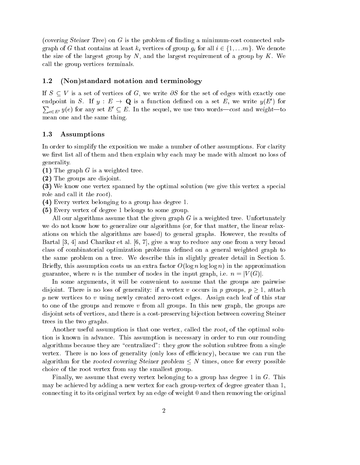(covering Steiner Tree) on G is the problem of finding a minimum-cost connected sub- $\alpha$  is at least kinematic contains at least  $\alpha$  in all intervals of group gives  $\alpha$  in  $\alpha$  in  $\alpha$  in  $\alpha$  in  $\alpha$  in  $\alpha$  in  $\alpha$  in  $\alpha$  in  $\alpha$  in  $\alpha$  in  $\alpha$  in  $\alpha$  in  $\alpha$  in  $\alpha$  in  $\alpha$  in  $\alpha$  in  $\alpha$  in  $\alpha$ the size of the largest group by  $N$ , and the largest requirement of a group by  $K$ . We all the group verti
es terminals.

## 1.2 (Non)standard notation and terminology

If  $S \subseteq V$  is a set of vertices of G, we write  $\partial S$  for the set of edges with exactly one endpoint in  $S$ . If  $y : E \to \mathbf{Q}$  is a function defined on a set  $E$ , we write  $y(E_+)$  for  $\sum_{e \in E'} y(e)$  for any set  $E' \subseteq E$ . In the sequel, we use two words—cost and weight—to mean one and the same thing.

#### 1.3 Assumptions

In order to simplify the exposition we make a number of other assumptions. For clarity we first list all of them and then explain why each may be made with almost no loss of generality.

 $(1)$  The graph G is a weighted tree.

(2) The groups are disjoint.

(3) We know one vertex spanned by the optimal solution (we give this vertex a spe
ial role and call it the root).

- (4) Every vertex belonging to a group has degree 1.
- (5) Every vertex of degree 1 belongs to some group.

All our algorithms assume that the given graph  $G$  is a weighted tree. Unfortunately we do not know how to generalize our algorithms (or, for that matter, the linear relaxations on whi
h the algorithms are based) to general graphs. However, the results of Bartal  $[3, 4]$  and Charikar et al.  $[6, 7]$ , give a way to reduce any one from a very broad lass of ombinatorial optimization problems dened on a general weighted graph to the same problem on a tree. We des
ribe this in slightly greater detail in Se
tion 5. Briefly, this assumption costs us an extra factor  $O(\log n \log \log n)$  in the approximation guarantee, where n is the number of nodes in the input graph, i.e.  $n = |V(G)|$ .

In some arguments, it will be convenient to assume that the groups are pairwise disjoint. There is no loss of generality: if a vertex v occurs in p groups,  $p \geq 1$ , attach p new vertices to v using newly created zero-cost edges. Assign each leaf of this star to one of the groups and remove v from all groups. In this new graph, the groups are disjoint sets of verti
es, and there is a ost-preserving bije
tion between overing Steiner trees in the two graphs.

Another useful assumption is that one vertex, called the root, of the optimal solution is known in advan
e. This assumption is ne
essary in order to run our rounding algorithms because they are "centralized": they grow the solution subtree from a single vertex. There is no loss of generality (only loss of efficiency), because we can run the algorithm for the rooted covering Steiner problem  $\leq N$  times, once for every possible hoi
e of the root vertex from say the smallest group.

Finally, we assume that every vertex belonging to a group has degree 1 in G. This may be a
hieved by adding a new vertex for ea
h group-vertex of degree greater than 1, onne
ting it to its original vertex by an edge of weight 0 and then removing the original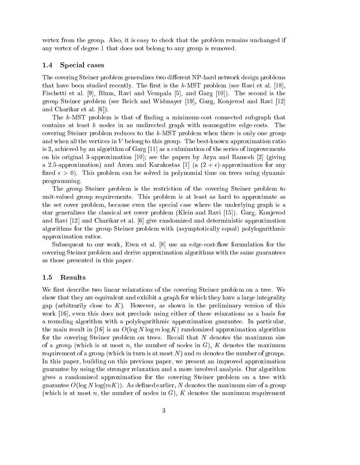vertex from the group. Also, it is easy to check that the problem remains unchanged if any vertex of degree 1 that does not belong to any group is removed.

### 1.4 Special cases

The covering Steiner problem generalizes two different NP-hard network design problems that have been studied recently. The first is the  $k$ -MST problem (see Ravi et al. [18], Fischetti et al. [9], Blum, Ravi and Vempala [5], and Garg  $[10]$ . The second is the group Steiner problem (see Reich and Widmayer [19], Garg, Konjevod and Ravi [12] and Charikar et al.  $[6]$ .

The  $k$ -MST problem is that of finding a minimum-cost connected subgraph that contains at least  $k$  nodes in an undirected graph with nonnegative edge-costs. The covering Steiner problem reduces to the k-MST problem when there is only one group and when all the verti
es in V belong to this group. The best-known approximation ratio is 2, achieved by an algorithm of Garg  $[11]$  as a culmination of the series of improvements on his original 3-approximation [10]; see the papers by Arya and Ramesh [2] (giving a 2.5-approximation) and Arora and Karakostas [1] (a  $(2 + \epsilon)$ -approximation for any fixed  $\epsilon > 0$ ). This problem can be solved in polynomial time on trees using dynamic programming.

The group Steiner problem is the restri
tion of the overing Steiner problem to unit-valued group requirements. This problem is at least as hard to approximate as the set over problem, be
ause even the spe
ial ase where the underlying graph is a star generalizes the classical set cover problem (Klein and Ravi [15]). Garg, Konjevod and Ravi  $[12]$  and Charikar et al.  $[6]$  give randomized and deterministic approximation algorithms for the group Steiner problem with (asymptotically equal) polylogarithmic approximation ratios.

Subsequent to our work, Even et al.  $[8]$  use an edge-cost-flow formulation for the overing Steiner problem and derive approximation algorithms with the same guarantees as those presented in this paper.

#### 1.5 Results

We first describe two linear relaxations of the covering Steiner problem on a tree. We show that they are equivalent and exhibit a graph for which they have a large integrality gap (arbitrarily close to  $K$ ). However, as shown in the preliminary version of this work  $[16]$ , even this does not preclude using either of these relaxations as a basis for a rounding algorithm with a polylogarithmic approximation guarantee. In particular, the main result in [16] is an  $O(\log N \log m \log K)$  randomized approximation algorithm for the covering Steiner problem on trees. Recall that N denotes the maximum size of a group (which is at most n, the number of nodes in  $G$ ), K denotes the maximum requirement of a group (which in turn is at most N) and m denotes the number of groups. In this paper, building on this previous paper, we present an improved approximation guarantee by using the stronger relaxation and a more involved analysis. Our algorithm gives a randomized approximation for the overing Steiner problem on a tree with guarantee  $O(\log N \log(mK))$ . As defined earlier, N denotes the maximum size of a group (which is at most n, the number of nodes in  $G$ ), K denotes the maximum requirement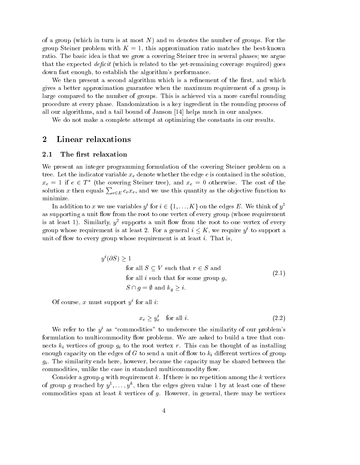of a group (which in turn is at most N) and m denotes the number of groups. For the group Steiner problem with  $K = 1$ , this approximation ratio matches the best-known ratio. The basi idea is that we grow a overing Steiner tree in several phases; we argue that the expected  $deficit$  (which is related to the yet-remaining coverage required) goes down fast enough, to establish the algorithm's performan
e.

We then present a second algorithm which is a refinement of the first, and which gives a better approximation guarantee when the maximum requirement of a group is large compared to the number of groups. This is achieved via a more careful rounding pro
edure at every phase. Randomization is a key ingredient in the rounding pro
ess of all our algorithms, and a tail bound of Janson  $[14]$  helps much in our analyses.

We do not make a complete attempt at optimizing the constants in our results.

#### 2Linear relaxations

## 2.1 The first relaxation

We present an integer programming formulation of the covering Steiner problem on a tree. Let the indicate  $\Omega$  $x_e = 1$  if  $e \in I$  (the covering Steiner tree), and  $x_e = 0$  otherwise. The cost of the solution x then equals  $\sum_{e \in E} c_e x_e$ , and we use this quantity as the objective function to minimize.

In addition to x we use variables  $y_1$  for  $i \in \{1, \ldots, K\}$  on the edges  $E$ . We think of  $y_1$ as supporting a unit flow from the root to one vertex of every group (whose requirement is at least 1). Similarly,  $y^2$  supports a unit now from the root to one vertex of every group whose requirement is at least  $\varphi$ . For a general  $i \leq \Lambda$ , we require  $y$  to support a unit of flow to every group whose requirement is at least  $i$ . That is,

$$
y^{i}(\partial S) \ge 1
$$
  
for all  $S \subseteq V$  such that  $r \in S$  and  
for all  $i$  such that for some group  $g$ ,  

$$
S \cap g = \emptyset \text{ and } k_{q} \ge i.
$$
 (2.1)

Of course, x must support  $y$  for all  $i$ :

$$
x_e \ge y_e^i \quad \text{for all } i. \tag{2.2}
$$

We refer to the  $y^i$  as "commodities" to underscore the similarity of our problem's formulation to multicommodity flow problems. We are asked to build a tree that conthe the the the root of group  $g_{\ell}$  to the the the there is a measure that the thought of association  $\alpha$ enough apa
ity on the edges of G to send a unit of ow to ki dierent verti
es of group give the similarity end the similar control of the shared the strip week, they we have the strip the share commodities, unlike the case in standard multicommodity flow.

Consider a group q with requirement k. If there is no repetition among the k vertices of group  $q$  reached by  $y_1, \ldots, y_n$ , then the edges given value 1 by at least one of these commodities span at least  $k$  vertices of  $g$ . However, in general, there may be vertices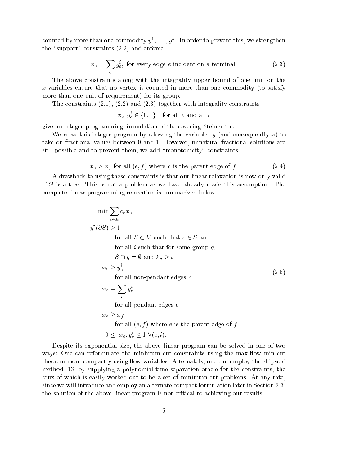counted by more than one commodity  $y^*, \ldots, y^*$  . In order to prevent this, we strengthen the "support" constraints  $(2.2)$  and enforce

$$
x_e = \sum_i y_e^i
$$
, for every edge *e* incident on a terminal. (2.3)

The above onstraints along with the integrality upper bound of one unit on the x-variables ensure that no vertex is counted in more than one commodity (to satisfy more than one unit of requirement) for its group.

The onstraints (2.1), (2.2) and (2.3) together with integrality onstraints

 $x_e, y_e \in \{0, 1\}$  for all e and all i

give an integer programming formulation of the overing Steiner tree.

We relax this integer program by allowing the variables  $y$  (and consequently x) to take on fra
tional values between 0 and 1. However, unnatural fra
tional solutions are still possible and to prevent them, we add "monotonicity" constraints:

$$
x_e \ge x_f \text{ for all } (e, f) \text{ where } e \text{ is the parent edge of } f. \tag{2.4}
$$

A drawba
k to using these onstraints is that our linear relaxation is now only valid if G is a tree. This is not a problem as we have already made this assumption. The omplete linear programming relaxation is summarized below.

$$
\min \sum_{e \in E} c_e x_e
$$
\n
$$
y^i (\partial S) \ge 1
$$
\nfor all  $S \subset V$  such that  $r \in S$  and\nfor all  $i$  such that for some group  $g$ ,\n
$$
S \cap g = \emptyset \text{ and } k_g \ge i
$$
\n
$$
x_e \ge y_e^i
$$
\nfor all non-pendant edges  $e$ \n
$$
x_e = \sum_i y_e^i
$$
\nfor all pendant edges  $e$ \n
$$
x_e \ge x_f
$$
\nfor all  $(e, f)$  where  $e$  is the parent edge of  $f$ \n
$$
0 \le x_e, y_e^i \le 1 \ \forall (e, i).
$$
\n(2.5)

Despite its exponential size, the above linear program an be solved in one of two ways: One can reformulate the minimum cut constraints using the max-flow min-cut theorem more compactly using flow variables. Alternately, one can employ the ellipsoid method  $[13]$  by supplying a polynomial-time separation oracle for the constraints, the crux of which is easily worked out to be a set of minimum cut problems. At any rate, since we will introduce and employ an alternate compact formulation later in Section 2.3, the solution of the above linear program is not critical to achieving our results.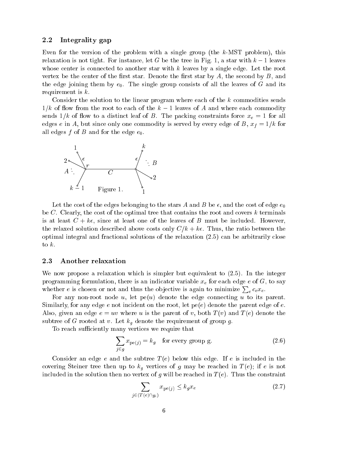#### 2.2 Integrality gap

Even for the version of the problem with a single group (the k-MST problem), this relaxation is not tight. For instance, let G be the tree in Fig. 1, a star with  $k-1$  leaves whose center is connected to another star with  $k$  leaves by a single edge. Let the root vertex be the center of the first star. Denote the first star by  $A$ , the second by  $B$ , and the edge joining them by  $e_0$ . The single group consists of all the leaves of G and its requirement is k.

Consider the solution to the linear program where each of the  $k$  commodities sends  $1/k$  of flow from the root to each of the  $k-1$  leaves of A and where each commodity sends 1: to a distinct for a distinct for all the particles for all the particles for all the particles for all e only one of the one of  $\mathcal{A}$  is served by every edge of B, xf  $\mathcal{A}$  and  $\mathcal{A}$ all edges f of B and for the edge  $e_0$ .



Let the cost of the edges belonging to the stars A and B be  $\epsilon$ , and the cost of edge  $e_0$ be C. Clearly, the cost of the optimal tree that contains the root and covers  $k$  terminals is at least  $C + k\epsilon$ , since at least one of the leaves of B must be included. However, the relaxed solution described above costs only  $C/k + k\epsilon$ . Thus, the ratio between the optimal integral and fra
tional solutions of the relaxation (2.5) an be arbitrarily lose to  $k$ .

#### 2.3 Another relaxation

We now propose a relaxation which is simpler but equivalent to  $(2.5)$ . In the integer programming formulation, there is an indi
ator variable xe for ea
h edge <sup>e</sup> of G, to say whether e is chosen or not and thus the objective is again to minimize  $\sum_{e} c_e x_e$ .

For any non-root node  $u$ , let  $pe(u)$  denote the edge connecting  $u$  to its parent. Similarly, for any edge  $e$  not incident on the root, let  $pe(e)$  denote the parent edge of  $e$ . Also, given an edge  $e = uv$  where u is the parent of v, both  $T(v)$  and  $T(e)$  denote the subtree of G rooted at v. Let kg denote the requirement of group g.

To reach sufficiently many vertices we require that

$$
\sum_{j \in g} x_{\text{pe}(j)} = k_g \quad \text{for every group g.} \tag{2.6}
$$

Consider an edge e and the subtree  $T(e)$  below this edge. If e is included in the over the steiner tree then up to kg vertical tree in the steiner of exception and  $\sim$  (e); if e is not to included in the solution then no vertex of g will be reached in  $T(e)$ . Thus the constraint

$$
\sum_{j \in (T(e) \cap g_i)} x_{\text{pe}(j)} \le k_g x_e \tag{2.7}
$$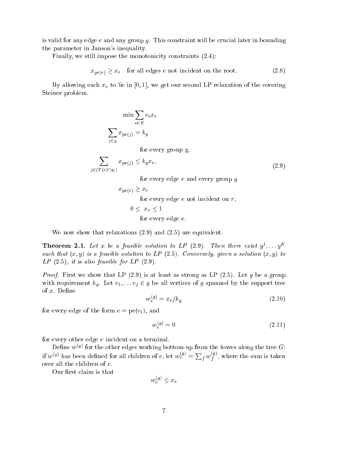is valid for any edge  $e$  and any group  $g$ . This constraint will be crucial later in bounding the parameter in Janson's inequality.

Finally, we still impose the monotonicity constraints  $(2.4)$ :

$$
x_{\text{pe}(e)} \ge x_e \quad \text{for all edges } e \text{ not incident on the root.} \tag{2.8}
$$

By allowing ea
h xe to lie in [0; 1℄, we get our se
ond LP relaxation of the overing Steiner problem.

$$
\min \sum_{e \in E} c_e x_e
$$
  

$$
\sum_{j \in g} x_{\text{pe}(j)} = k_g
$$
  
for every group g,

$$
\sum_{j \in (T(e) \cap g_i)} x_{\text{pe}(j)} \le k_g x_e,\tag{2.9}
$$

for every edge  $e$  and every group  $q$ 

$$
x_{\text{pe}(e)} \ge x_e
$$
 for every edge *e* not incident on *r*,

$$
0 \leq x_e \leq 1
$$
 for every edge *e*.

We now show that relaxations  $(2.9)$  and  $(2.5)$  are equivalent.

**Theorem 2.1.** Let x be a feasible solution to LP (2.9). Then there exist  $y^2, \ldots, y^m$ such that  $(x, y)$  is a feasible solution to LP (2.5). Conversely, given a solution  $(x, y)$  to  $LP(2.5)$ , it is also feasible for  $LP(2.9)$ .

*Proof.* First we show that LP (2.9) is at least as strong as LP (2.5). Let g be a group with requirement in  $\mu$  . Let vital vertically by the support trees of g spanned by the support trees of the of x. Define

$$
w_e^{(g)} = x_e / k_g \tag{2.10}
$$

for every edge of the form  $e = pe(v_i)$ , and

$$
w_e^{(g)} = 0 \tag{2.11}
$$

for every other edge  $e$  incident on a terminal.

Define  $w^{\mathcal{G}}$  for the other edges working bottom-up from the leaves along the tree  $G$ : if  $w^{(g)}$  has been defined for all children of e, let  $w_e^{(g)} = \sum_f w_f^{(g)}$ , where the sum is taken over all the children of  $e$ .

Our first claim is that

$$
w_e^{(g)} \le x_e
$$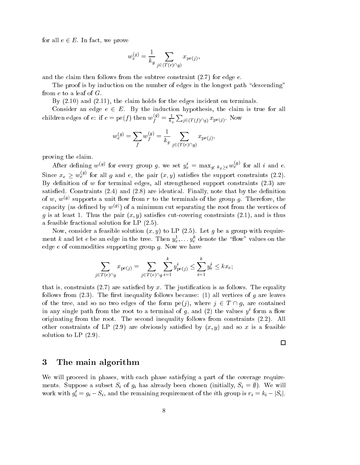for all  $e \in E$ . In fact, we prove

$$
w_e^{(g)} = \frac{1}{k_g} \sum_{j \in (T(e) \cap g)} x_{\mathrm{pe}(j)},
$$

and the claim then follows from the subtree constraint  $(2.7)$  for edge e.

The proof is by induction on the number of edges in the longest path "descending" from  $e$  to a leaf of  $G$ .

By  $(2.10)$  and  $(2.11)$ , the claim holds for the edges incident on terminals.

Consider an edge  $e \in E$ . By the induction hypothesis, the claim is true for all children edges of  $e$ : if  $e = \text{pe}(f)$  then  $w_f^{(s)} = \frac{1}{k_g}$  $\overline{\phantom{a}}$ j2(T (f )\g) xpe(j) . Now

$$
w_e^{(g)}=\sum_f w_f^{(g)}=\frac{1}{k_g}\sum_{j\in (T(e)\cap g)}x_{\mathrm{pe}(j)},
$$

proving the laim.

After defining  $w^{(y)}$  for every group g, we set  $y_e^i = \max_{g: k_g > i} w_e^{i^{(y)}}$  for all i and e. Since  $x_e \geq w_e^{s}$  for all g and e, the pair  $(x, y)$  satisfies the support constraints (2.2). By definition of  $w$  for terminal edges, all strengthened support constraints  $(2.3)$  are satisfied. Constraints  $(2.4)$  and  $(2.8)$  are identical. Finally, note that by the definition of  $w, w^{s}$  supports a unit now from  $r$  to the terminals of the group  $q$ . Therefore, the capacity (as defined by  $w^{\square s}$  ) of a minimum cut separating the root from the vertices of q is at least 1. Thus the pair  $(x, y)$  satisfies cut-covering constraints (2.1), and is thus a feasible fra
tional solution for LP (2.5).

Now, consider a feasible solution  $(x, y)$  to LP (2.5). Let g be a group with requirement  $\kappa$  and let  $e$  be an edge in the tree. Then  $y_e^*, \ldots y_e^*$  denote the  $\mod$  values on the edge  $e$  of commodities supporting group  $g$ . Now we have

$$
\sum_{j \in T(e) \cap g} x_{\mathrm{pe}(j)} = \sum_{j \in T(e) \cap g} \sum_{i=1}^{k} y_{\mathrm{pe}(j)}^{i} \le \sum_{i=1}^{k} y_{e}^{i} \le kx_{e};
$$

that is, constraints  $(2.7)$  are satisfied by x. The justification is as follows. The equality follows from  $(2.3)$ . The first inequality follows because:  $(1)$  all vertices of g are leaves of the tree, and so no two edges of the form  $pe(j)$ , where  $j \in T \cap g$ , are contained in any single path from the root to a terminal of  $g$ , and  $(z)$  the values  $y^*$  form a now originating from the root. The se
ond inequality follows from onstraints (2.2). All other constraints of LP  $(2.9)$  are obviously satisfied by  $(x, y)$  and so x is a feasible solution to LP (2.9).

 $\Box$ 

#### 3The main algorithm

We will proceed in phases, with each phase satisfying a part of the coverage requirements. Suppose a subset  $S_i$  of  $g_i$  has already been controlled (initially,  $S_i$  ,  $S_i$  ,  $S_i$  ,  $S_i$ work with  $g_i = g_i - s_i$ , and the remaining requirement of the  $i$ th group is  $r_i = \kappa_i - |s_i|$ .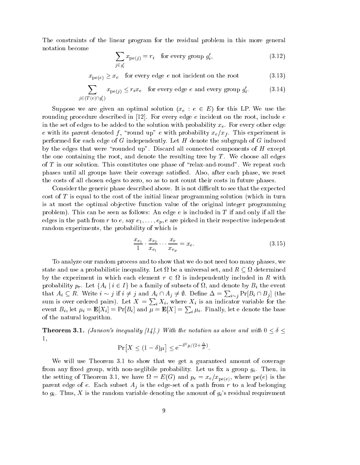The onstraints of the linear program for the residual problem in this more general notation be
ome

$$
\sum_{j \in g'_i} x_{\mathrm{pe}(j)} = r_i \quad \text{for every group } g'_i,\tag{3.12}
$$

 $x$  percy for every edge enters in the root for  $\alpha$  (3.13)

$$
\sum_{j \in (T(e) \cap g_i')} x_{\text{pe}(j)} \le r_i x_e \quad \text{for every edge } e \text{ and every group } g_i'. \tag{3.14}
$$

Suppose we are given an optimal solution (xe : <sup>e</sup> <sup>2</sup> E) for this LP. We use the rounding procedure described in [12]. For every edge e incident on the root, include e in the set of edges to be added to the solution with probability  $x_e$ . For every other edge e with its parent denoted f , and up the with probability  $\mathbf{r}$  . This experiment is experiment in this experiment is experiment in the second up to the second up to the second version of the second version is experimen performed for ea
h edge of G independently. Let H denote the subgraph of G indu
ed by the edges that were "rounded up". Discard all connected components of  $H$  except the one containing the root, and denote the resulting tree by  $T$ . We choose all edges of  $T$  in our solution. This constitutes one phase of "relax-and-round". We repeat such phases until all groups have their overage satised. Also, after ea
h phase, we reset the costs of all chosen edges to zero, so as to not count their costs in future phases.

i

Consider the generic phase described above. It is not difficult to see that the expected  $\cot$  of T is equal to the cost of the initial linear programming solution (which in turn is at most the optimal objective function value of the original integer programming problem). This can be seen as follows: An edge  $e$  is included in  $T$  if and only if all the edges in the path from r to e, say  $e_1, \ldots, e_p, e$  are picked in their respective independent random experiments, the probability of whi
h is

$$
\frac{x_{e_1}}{1} \cdot \frac{x_{e_2}}{x_{e_1}} \cdots \frac{x_e}{x_{e_p}} = x_e.
$$
 (3.15)

To analyze our random pro
ess and to show that we do not need too many phases, we state and use a probabilistic cool quality. Let it is and a universal set, and a version contract of by the experiment in whi
h ea
h element r <sup>2</sup> is independently in
luded in R with probability  $p$  is extended to  $\alpha$  in a family of subsets of the event of subsets of  $j = 1$  the event that  $A_i \subseteq R$ . Write  $i \sim j$  if  $i \neq j$  and  $A_i \cap A_j \neq \emptyset$ . Define  $\Delta = \sum_{i \sim j} \Pr[B_i \cap B_j]$  (the sum is over ordered pairs). Let  $X = \sum_i X_i$ , where  $X_i$  is an indicator variable for the event  $B_i$ , let  $\mu_i = \mathbf{E}[X_i] = \Pr[B_i]$  and  $\mu = \mathbf{E}[X] = \sum_i \mu_i$ . Finally, let e denote the base iof the natural logarithm.

**Theorem 3.1.** (Janson's inequality [14].) With the notation as above and with  $0 < \delta <$ 1,

$$
\Pr\left[X \le (1-\delta)\mu\right] \le e^{-\delta^2 \mu/(2+\frac{\Delta}{\mu})}
$$

We will use Theorem 3.1 to show that we get a guaranteed amount of coverage from any fixed group, with non-neglibile probability. Let us fix a group  $g_i$ . Then, in the setting of Theorem 3.1, we have  $\epsilon_{\rm T}$  , where  $p$  , where  $p$ partner engels to e. Eastern enter the edge-set ong also a path from the edge-set of a path from respect to  $g_i$ . Thus, X is the random variable denoting the amount of  $g_i$ 's residual requirement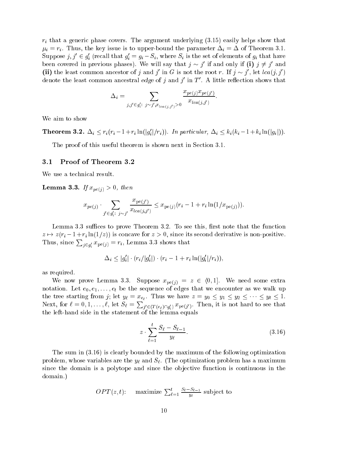ri that <sup>a</sup> generi phase overs. The argument underlying (3.15) easily helps show that i <sup>=</sup> ri . Thus, the key issue is to upper-bound the parameter i <sup>=</sup> of Theorem 3.1. Suppose  $j, j \in g_i$  (recall that  $g_i = g_i - s_i$ , where  $s_i$  is the set of elements of  $g_i$  that have been covered in previous phases). We will say that  $\gamma \sim \gamma$  if and only if (i)  $\gamma \neq \gamma$  and (ii) the least common ancestor of  $\gamma$  and  $\gamma$  in G is not the root  $r$ . If  $\gamma \sim \gamma$  , let  $lca(\gamma, \gamma)$ denote the least common ancestral *edge* of  $\eta$  and  $\eta$  in  $I$  . A little renection shows that

$$
\Delta_i = \sum_{j,j' \in g_i': j \sim j', x_{lca(j,j')} > 0} \frac{x_{pe(j)} x_{pe(j')}}{x_{lca(j,j')}}.
$$

We aim to show

**Theorem 3.2.**  $\Delta_i \leq r_i(r_i - 1 + r_i \ln(|g_i|/r_i))$ . In particular,  $\Delta_i \leq \kappa_i(\kappa_i - 1 + \kappa_i \ln(|g_i|))$ .

The proof of this useful theorem is shown next in Section 3.1.

#### 3.1 Proof of Theorem 3.2

We use a technical result.

 $-$  ------- - -  $\mu$   $\mu$   $\mu$   $\tau$   $\tau$   $\tau$   $-$ 

$$
x_{pe(j)} \cdot \sum_{j' \in g'_i \colon j \sim j'} \frac{x_{pe(j')}}{x_{lea(j,j')}} \leq x_{pe(j)} (r_i - 1 + r_i \ln(1/x_{pe(j)})).
$$

Lemma 3.3 suffices to prove Theorem 3.2. To see this, first note that the function z 7! z(ri 1+ri ln(1=z)) is on
ave for <sup>z</sup> <sup>&</sup>gt; 0, sin
e its se
ond derivative is non-positive. Thus, since  $\sum_{i \in \mathfrak{g}'} x_{\text{pe}(j)} = r_i$ , Lemma 3.3 shows that

$$
\Delta_i \le |g'_i| \cdot (r_i/|g'_i|) \cdot (r_i - 1 + r_i \ln(|g'_i|/r_i)),
$$

as required.

which is a normal section of  $\alpha$  in the some property  $\alpha$  is a some extracted some extracted some extracted enote that we encodered the sequence of energy that we encodered the sequence of  $\Gamma$  $t_{\text{max}}$  is the tree starting from  $t_{\text{max}}$  in  $t_{\text{max}}$  ,  $t_{\text{max}}$  is the starting  $t_{\text{max}}$  of  $y_0 = y_1 = y_2 = 0$ . Next, for  $\ell = 0, 1, \ldots, \ell$ , let  $S_{\ell} = \sum_{j' \in (T(e_{\ell}) \cap g'_{i})} x_{\text{pe}(j')}$ . Then, it is not hard to see that the left-hand side in the statement of the lemma equals

$$
z \cdot \sum_{\ell=1}^{t} \frac{S_{\ell} - S_{\ell-1}}{y_{\ell}}.\tag{3.16}
$$

The sum in  $(3.16)$  is clearly bounded by the maximum of the following optimization problem, whose variables are the yields are the yields are the yields of  $\mathbb{R}^n$  and  $\mathbb{R}^n$  and  $\mathbb{R}^n$  are the optimization problem has a maximum maximum maximum maximum maximum maximum maximum maximum maximum since the domain is a polytope and since the objective function is continuous in the domain.)

$$
OPT(z, t)
$$
: maximize  $\sum_{\ell=1}^t \frac{S_{\ell} - S_{\ell-1}}{y_{\ell}}$  subject to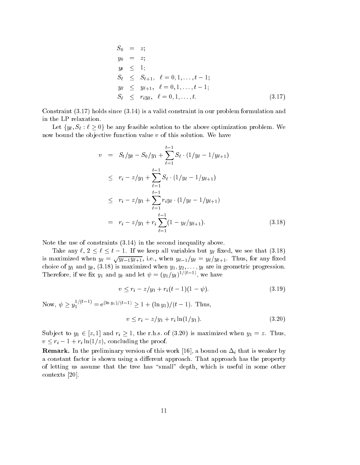$$
S_0 = z;
$$
  
\n
$$
y_0 = z;
$$
  
\n
$$
y_t \leq 1;
$$
  
\n
$$
S_\ell \leq S_{\ell+1}, \ell = 0, 1, ..., t-1;
$$
  
\n
$$
y_\ell \leq y_{\ell+1}, \ell = 0, 1, ..., t-1;
$$
  
\n
$$
S_\ell \leq r_i y_\ell, \ell = 0, 1, ..., t.
$$
  
\n(3.17)

Constraint (3.17) holds sin
e (3.14) is a valid onstraint in our problem formulation and in the LP relaxation.

Let fy  $\alpha$  :  $\alpha$  is the above optimization to the above optimization problem. We are above  $\alpha$ now bound the objective function value  $v$  of this solution. We have

$$
v = S_t/y_t - S_0/y_1 + \sum_{\ell=1}^{t-1} S_{\ell} \cdot (1/y_{\ell} - 1/y_{\ell+1})
$$
  
\n
$$
\leq r_i - z/y_1 + \sum_{\ell=1}^{t-1} S_{\ell} \cdot (1/y_{\ell} - 1/y_{\ell+1})
$$
  
\n
$$
\leq r_i - z/y_1 + \sum_{\ell=1}^{t-1} r_i y_{\ell} \cdot (1/y_{\ell} - 1/y_{\ell+1})
$$
  
\n
$$
= r_i - z/y_1 + r_i \sum_{\ell=1}^{t-1} (1 - y_{\ell}/y_{\ell+1}). \qquad (3.18)
$$

Note the use of constraints  $(3.14)$  in the second inequality above.

Take any  $\gamma$  is the set of  $\gamma$  . If we keep all variables but you will variable that  $\gamma$  is the (3.18) is maximized when  $y_{\ell} = \sqrt{y_{\ell-1}y_{\ell+1}}$ , i.e., when  $y_{\ell-1}/y_{\ell} = y_{\ell}/y_{\ell+1}$ . Thus, for any fixed hoise of y1 and yt, (3.18) is maximized when y1; y2; : : ; yt are in geometric when  $\sigma$ I nerefore, if we fix  $y_1$  and  $y_t$  and let  $\psi = (y_1/y_t)^{-\gamma}$ , we have

$$
v \le r_i - z/y_1 + r_i(t-1)(1-\psi). \tag{3.19}
$$

Now,  $\psi > y_1^{1+\frac{1}{2}}$  $1 = e^{(-3t)/(t-1)} \geq 1 + (\ln y_1)/(t-1).$  Thus,

$$
v \le r_i - z/y_1 + r_i \ln(1/y_1). \tag{3.20}
$$

 $S$ ub je to  $y_1$  and  $y_1$  and  $y_2$  is maximized when  $\{S\}$  is maximized when  $y_1$  and  $y_2$ v ri <sup>1</sup> <sup>+</sup> ri ln(1=z), on
luding the proof.

remarks in the preliminary version of this work  $\mathbb{P}^1$  and in the  $\mathbb{P}^1$  and  $\mathbb{P}^1$ a constant factor is shown using a different approach. That approach has the property of letting us assume that the tree has "small" depth, which is useful in some other contexts  $[20]$ .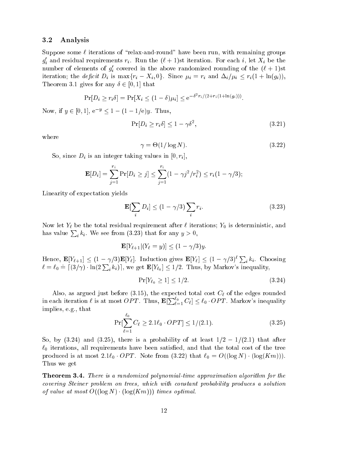## 3.2 Analysis

Suppose some  $\ell$  iterations of "relax-and-round" have been run, with remaining groups  $g_i$  and residual requirements  $r_i$ . Kun the  $(\ell+1)$ st iteration. For each  $i$ , let  $\Lambda_i$  be the number of elements of  $g_i$  covered in the above randomized rounding of the  $(\ell + 1)$ st it discusses that it different interests in the definition of the interest of  $\Gamma$  is maximum in  $\Gamma$  in  $\Gamma$  . The definition of  $\Gamma$ Theorem 3.1 gives for any  $\delta \in [0, 1]$  that

$$
\Pr[D_i \ge r_i \delta] = \Pr[X_i \le (1 - \delta)\mu_i] \le e^{-\delta^2 r_i/(2 + r_i(1 + \ln(g_i)))}.
$$

Now, if  $y \in [0, 1]$ ,  $e^{-y} \le 1 - (1 - 1/e)y$ . Thus,

$$
\Pr[D_i \ge r_i \delta] \le 1 - \gamma \delta^2,\tag{3.21}
$$

where

$$
\gamma = \Theta(1/\log N). \tag{3.22}
$$

So, sin
e Di is an integer taking values in [0; ri ℄,

$$
\mathbf{E}[D_i] = \sum_{j=1}^{r_i} \Pr[D_i \ge j] \le \sum_{j=1}^{r_i} (1 - \gamma j^2 / r_i^2) \le r_i (1 - \gamma / 3);
$$

Linearity of expe
tation yields

i

$$
\mathbf{E}[\sum_{i} D_i] \le (1 - \gamma/3) \sum_{i} r_i.
$$
 (3.23)

 $\mathcal{A}$  be the total residual residual residual residual residual regulations;  $\mathcal{A}$  is deterministic values;  $\mathcal{A}$ has value  $\sum_i k_i$ . We see from (3.23) that for any  $y > 0$ ,

$$
\mathbf{E}[Y_{\ell+1}|(Y_{\ell}=y)] \le (1-\gamma/3)y.
$$

Hence,  $\mathbf{E}[Y_{\ell+1}] \leq (1 - \gamma/3)\mathbf{E}[Y_{\ell}]$ . Induction gives  $\mathbf{E}[Y_{\ell}] \leq (1 - \gamma/3)^{\ell} \sum_{i} k_i$ . Choosing  $\ell = \ell_0 \doteq \lceil (3/\gamma) \cdot \ln(2\sum_i k_i) \rceil$ , we get  $\mathbf{E}[Y_{\ell_0}] \leq 1/2$ . Thus, by Markov's inequality,

$$
\Pr[Y_{\ell_0} \ge 1] \le 1/2. \tag{3.24}
$$

Also, as argued just before (3.15), the expe
ted total ost C` of the edges rounded in each iteration  $\ell$  is at most  $OPT$ . Thus,  $\mathbf{E}[\sum_{\ell=1}^{t_0} C_\ell] \leq \ell_0 \cdot OPT$ . Markov's inequality implies, e.g., that

$$
\Pr[\sum_{\ell=1}^{\ell_0} C_\ell \ge 2.1 \ell_0 \cdot OPT] \le 1/(2.1). \tag{3.25}
$$

So, by  $(3.24)$  and  $(3.25)$ , there is a probability of at least  $1/2 - 1/(2.1)$  that after our committee in the tree been seed to the trees which are the trees that the total that the trees to the produ
ed is at most 2:1`0 OP T . Note from (3.22) that `0 <sup>=</sup> O((log N) (log(Km))). Thus we get

Theorem 3.4. There is a randomized polynomial-time approximation algorithm for the covering Steiner problem on trees, which with constant probability produces a solution of value at most  $O((\log N) \cdot (\log(Km)))$  times optimal.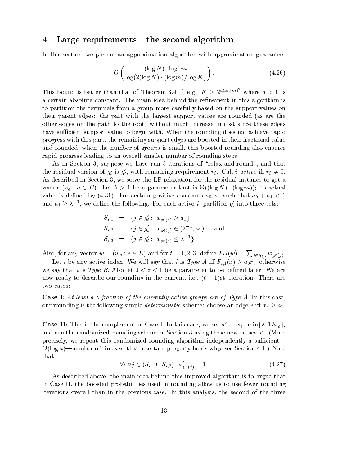# 4 Large requirements—the second algorithm

In this se
tion, we present an approximation algorithm with approximation guarantee

$$
O\left(\frac{(\log N) \cdot \log^2 m}{\log(2(\log N) \cdot (\log m)/\log K)}\right). \tag{4.26}
$$

This bound is better than that of Theorem 3.4 if, e.g.,  $K > 2^{u(\log m)^2}$  where  $a > 0$  is a certain absolute constant. The main idea behind the refinement in this algorithm is to partition the terminals from a group more arefully based on the support values on their parent edges: the part with the largest support values are rounded (as are the other edges on the path to the root) without mu
h in
rease in ost sin
e these edges have sufficient support value to begin with. When the rounding does not achieve rapid progress with this part, the remaining support edges are boosted in their fra
tional value and rounded; when the number of groups is small, this boosted rounding also ensures rapid progress leading to an overall smaller number of rounding steps.

As in Section 3, suppose we have run  $\ell$  iterations of "relax-and-round", and that the residual version of  $g_i$  is  $g_i$ , with remaining requirement  $r_i$ . Call *i* active in  $r_i \neq 0$ . As described in Section 3, we solve the LP relaxation for the residual instance to get a ve : lettra d'alternation d'alternation d'alternation de la partie de la comme de la comme de la comme de la c value is defined by (4.31). For extracting positive constants and  $\alpha$  is defined by  $\alpha$ and  $a_1 \geq \lambda^{-1}$ , we define the following. For each active *t*, partition  $g_i$  into three sets:

$$
S_{i,1} = \{j \in g'_i : x_{\text{pe}(j)} \ge a_1\},
$$
  
\n
$$
S_{i,2} = \{j \in g'_i : x_{\text{pe}(j)} \in (\lambda^{-1}, a_1)\} \text{ and }
$$
  
\n
$$
S_{i,3} = \{j \in g'_i : x_{\text{pe}(j)} \le \lambda^{-1}\}.
$$

Also, for any vector  $w = (w_e : e \in E)$  and for  $t = 1, 2, 3$ , define  $F_{i,t}(w) = \sum_{j \in S_{i,t}} w_{pe(j)}$ .

Let i be any active index. We will say that i is Type A iff  $F_{i,1}(x) \ge a_0 r_i$ ; otherwise we say that i is Type B. Also let  $0 < z < 1$  be a parameter to be defined later. We are now ready to describe our rounding in the current, i.e.,  $(\ell + 1)$ st, iteration. There are two cases:

**Case I:** At least a z fraction of the currently active groups are of Type A. In this case, our rounding is the following simple deterministic simplement that we have an end of  $\omega = \tau_1$  .

**Case II:** This is the complement of Case I. In this case, we set  $x_e = x_e \cdot \min{\lambda, 1/x_e},$ and run the randomized rounding scheme of Section 3 using these new values  $x$  . (More precisely, we repeat this randomized rounding algorithm independently a sufficient- $O(\log n)$ —number of times so that a certain property holds whp; see Section 4.1.) Note that

$$
\forall i \ \forall j \in (S_{i,1} \cup S_{i,2}), \ x'_{\text{pe}(j)} = 1. \tag{4.27}
$$

As des
ribed above, the main idea behind this improved algorithm is to argue that in Case II, the boosted probabilities used in rounding allow us to use fewer rounding iterations overall than in the previous ase. In this analysis, the se
ond of the three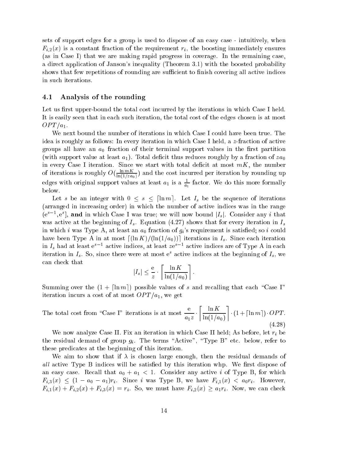sets of support edges for a group is used to dispose of an easy case - intuitively, when  $F_{i,2}(x)$  is a constant fraction of the requirement  $r_i$ , the boosting immediately ensures (as in Case I) that we are making rapid progress in overage. In the remaining ase, a direct application of Janson's inequality (Theorem 3.1) with the boosted probability shows that few repetitions of rounding are sufficient to finish covering all active indices in su
h iterations.

## 4.1 Analysis of the rounding

Let us first upper-bound the total cost incurred by the iterations in which Case I held. It is easily seen that in each such iteration, the total cost of the edges chosen is at most  $OPT/a_1$ .

We next bound the number of iterations in which Case I could have been true. The idea is roughly as follows: In every iteration in which Case I held, a z-fraction of active  $\mathbf{r}$  is the contract of the support values in the rst particle support values in the rst particle support values in the contract of the contract of the contract of the contract of the contract of the contract of the c  $\alpha$  , we can construct at least and  $\alpha$  in the fraction of  $\alpha$  and  $\alpha$  and  $\alpha$  and  $\alpha$  fraction of  $\alpha$  and  $\alpha$ in every Case I iteration. Since we start with total deficit at most  $mK$ , the number of iterations is roughly  $U(\frac{1}{\ln(1+\epsilon)})$  $\ln(1/za_0)$  ) and the the the second performance is the substitution by rounding  $\ln r$ edges with original support values at least  $a_1$  is a  $\frac{1}{a_1}$  $a_1$  and the fact of the fact of the fact of the fact of the fact of the fact of the fact of the fact of the fact of the fact of the fact of the fact of the fact of the fact of the fact of the fact of the fact of the fac below.

Let s be an integer with 0 s dln me. Let Is be the sequen
e of iterations (arranged in in
reasing order) in whi
h the number of a
tive indi
es was in the range (e), e.g., and in which Case I was true; we will now bound  $|I_s|$ . Consider any  $i$  that was active at the beginning of  $I_s$ . Equation (4.27) shows that for every iteration in  $I_s$ in which i was Type A, at least an  $a_0$  fraction of  $g_i$ 's requirement is satisfied; so i could have been Type A in at most  $\lceil (\ln K)/(\ln(1/a_0)) \rceil$  iterations in  $I_s$ . Since each iteration in  $I_s$  had at least  $e^+$  - active indices, at least  $ze^-$  - active indices are of Type A in each iteration in  $I_s$ . So, since there were at most e-active indices at the beginning of  $I_s$ , we an he
k that

$$
|I_s| \le \frac{e}{z} \cdot \left\lceil \frac{\ln K}{\ln(1/a_0)} \right\rceil.
$$

Summing over the  $(1 + \lceil \ln m \rceil)$  possible values of s and recalling that each "Case I" iteration incurs a cost of at most  $OPT/a_1$ , we get

The total cost from "Case I" iterations is at most  $$  $a_1z$  $\sim$  $-1 - 1 - 0$ \_  $\blacksquare$ (4.28)

we have constructed and iteration in the second in the case in which is whole the second in the second let  $\ell$  is a the residual demand of Group gi, where the terms  $\Lambda$  ,  $\Lambda$  par B" etc. The terms  $\Lambda$ these predicates at the beginning of this iteration.

We aim to show that if  $\lambda$  is chosen large enough, then the residual demands of all active Type B indices will be satisfied by this iteration whp. We first dispose of and the second constant and all that any all that all that all that all the second consider any all the second o  $\tau$  ,  $\tau$  ,  $\tau$  , and  $\tau$  . It is the single B, we have  $\tau$  is the single  $\tau$  , and it is the single single  $\tau$  $F_{i,1}(x) + F_{i,2}(x) + F_{i,3}(x) = r_i$ . So, we must have  $F_{i,2}(x) \ge a_1 r_i$ . Now, we can check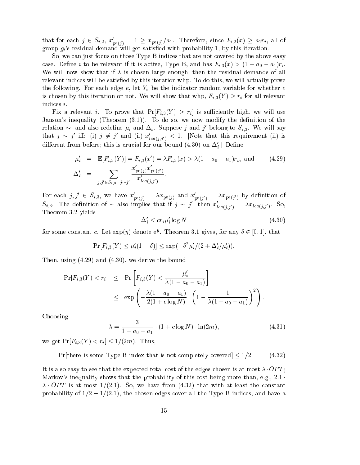that for each  $j \in S_{i,2}$ ,  $x_{pe(j)} = 1 \geq x_{pe(j)}/a_1$ . Therefore, since  $F_{i,2}(x) \geq a_1 r_i$ , all of group  $g_i$ 's residual demand will get satisfied with probability 1, by this iteration.

So, we can just focus on those Type B indices that are not covered by the above easy as extended in the contraction of the state  $\alpha$  and  $\alpha$  and  $\alpha$  and  $\alpha$  and  $\alpha$   $\alpha$   $\alpha$   $\alpha$ We will now show that if  $\lambda$  is chosen large enough, then the residual demands of all relevant indices will be satisfied by this iteration whp. To do this, we will actually prove the following. For ea
h edge e, let Ye be the indi
ator random variable for whether <sup>e</sup> is its interaction or not. We will show that when  $\mathbb{F}$  is a formal relevant when  $\mathbb{F}$  is a formal relevant when  $\mathbb{F}$ indi
es i.

Fix a relevant *i*. To prove that  $Pr[F_{i,3}(Y) \geq r_i]$  is sufficiently high, we will use Janson's inequality (Theorem  $(3.1)$ ). To do so, we now modify the definition of the relation  $\sim$ , and also redefine  $\mu_i$  and  $\Delta_i$ . Suppose j and j belong to  $S_{i,3}$ . We will say that  $j \sim j$  in: (i)  $j \neq j$  and (ii)  $x_{lca(j,j')} < 1$ . [Note that this requirement (ii) is different from before; this is crucial for our bound  $(4.50)$  on  $\Delta_{s}$ . Define

$$
\mu'_i = \mathbf{E}[F_{i,3}(Y)] = F_{i,3}(x') = \lambda F_{i,3}(x) > \lambda (1 - a_0 - a_1) r_i, \text{ and } (4.29)
$$
  

$$
\Delta'_i = \sum_{j,j' \in S_{i,3}: j \sim j'} \frac{x'_{\text{pe}(j)} x'_{\text{pe}(j')}}{x'_{\text{lea}(j,j')}}.
$$

For each  $j, j \in S_{i,3}$ , we have  $x_{\text{pe}(j)} = \lambda x_{\text{pe}(j)}$  and  $x_{\text{pe}(j')} = \lambda x_{\text{pe}(j')}$  by definition of pe(j)) $S_{i,3}$ . The definition of  $\sim$  also implies that if  $j \sim j$ , then  $x_{lca(j,j')} = \lambda x_{lca(j,j')}$ . So, Theorem 3.2 yields

$$
\Delta_i' \le c r_i \mu_i' \log N \tag{4.30}
$$

for some constant c. Let  $\exp(y)$  denote  $e^y$ . Theorem 3.1 gives, for any  $\theta \in [0,1]$ , that

$$
\Pr[F_{i,3}(Y) \le \mu'_i(1-\delta)] \le \exp(-\delta^2 \mu'_i/(2 + \Delta'_i/\mu'_i)).
$$

Then, using (4.29) and (4.30), we derive the bound

$$
\Pr[F_{i,3}(Y) < r_i] \le \Pr\left[F_{i,3}(Y) < \frac{\mu'_i}{\lambda(1 - a_0 - a_1)}\right] \\
\le \exp\left(-\frac{\lambda(1 - a_0 - a_1)}{2(1 + c \log N)} \cdot \left(1 - \frac{1}{\lambda(1 - a_0 - a_1)}\right)^2\right).
$$

Choosing

$$
\lambda = \frac{3}{1 - a_0 - a_1} \cdot (1 + c \log N) \cdot \ln(2m),\tag{4.31}
$$

we get  $Pr[F_{i,3}(Y) < r_i] \le 1/(2m)$ . Thus,

Pr[there is some Type B index that is not completely covered]  $\leq 1/2.$  (4.32)

It is also easy to see that the expected total cost of the edges chosen is at most  $\lambda$  OPT; Markov's inequality shows that the probability of this cost being more than, e.g.,  $2.1 \cdot$  $\lambda$  OPT is at most 1/(2.1). So, we have from (4.32) that with at least the constant probability of  $1/2 - 1/(2.1)$ , the chosen edges cover all the Type B indices, and have a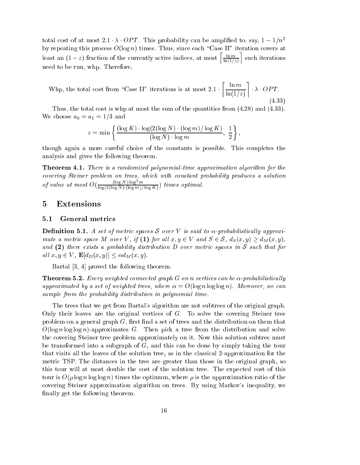total cost of at most 2.1  $\lambda$  OPT. This probability can be amplified to, say,  $1-1/n^2$ by repeating this process  $O(\log n)$  times. Thus, since each "Case II" iteration covers at least an  $(1-z)$  fraction of the currently active indices, at most  $\left[\frac{\ln m}{\sqrt{M}}\right]$  $\cdots$ <sup>m</sup> need to be run, whp. Therefore,

where the total contract from the complete iterations is at most 2:1 iterations in the most 2:1 iterations is a \_\_  $-1$ --. . . . <u>. .</u> . (4.33)

Thus, the total cost is whp at most the sum of the quantities from  $(4.28)$  and  $(4.33)$ .  $\mathbf{v}$  and  $\mathbf{v}$  and  $\mathbf{v}$  and  $\mathbf{v}$  and  $\mathbf{v}$ 

$$
z = \min\left\{\frac{(\log K) \cdot \log(2(\log N) \cdot (\log m) / \log K)}{(\log N) \cdot \log m}, \frac{1}{2}\right\}
$$

though again a more areful hoi
e of the onstants is possible. This ompletes the analysis and gives the following theorem.

Theorem 4.1. There is a randomized polynomial-time approximation algorithm for the covering Steiner problem on trees, which with constant probability produces a solution of value at most  $O(\frac{(\log N) \log^{-m}}{(\log N) (\log^{-m} N)})$  $\log(2(\log N) \cdot (\log m)/\log K)$ ' f

#### Extensions  $\overline{5}$

## 5.1 General metri
s

**Definition 5.1.** A set of metric spaces S over V is said to  $\alpha$ -probabilistically approxi- $\cdots$  substitute a post-off  $\cdots$  ,  $\cdots$  and  $\cdots$  all  $\cdots$  and  $\cdots$  all  $\cdots$   $\cdots$   $\cdots$   $\cdots$   $\cdots$   $\cdots$ and  $(2)$  there exists a probability distribution D over metric spaces in S such that for all  $x, y \in V$ ,  $\mathbf{E}[d_D(x, y)] \leq \alpha d_M(x, y)$ .

Bartal  $[3, 4]$  proved the following theorem.

**Theorem 5.2.** Every weighted connected graph G on n vertices can be  $\alpha$ -probabilistically approximated by a set of weighted trees, where  $\alpha = O(\log n \log \log n)$ . Moreover, we can sample from the probability distribution in polynomial time.

The trees that we get from Bartal's algorithm are not subtrees of the original graph. Only their leaves are the original vertices of  $G$ . To solve the covering Steiner tree problem on a general graph  $G$ , first find a set of trees and the distribution on them that  $O(\log n \log \log n)$ -approximates G. Then pick a tree from the distribution and solve the overing Steiner tree problem approximately on it. Now this solution subtree must be transformed into a subgraph of  $G$ , and this can be done by simply taking the tour that visits all the leaves of the solution tree, as in the lassi
al 2-approximation for the metri TSP. The distan
es in the tree are greater than those in the original graph, so this tour will at most double the cost of the solution tree. The expected cost of this tour is  $O(\rho \log n \log \log n)$  times the optimum, where  $\rho$  is the approximation ratio of the overing Steiner approximation algorithm on trees. By using Markov's inequality, we finally get the following theorem.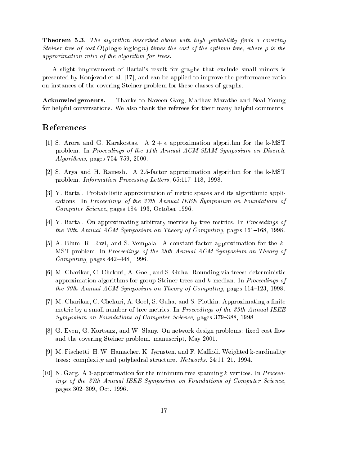**Theorem 5.3.** The algorithm described above with high probability finds a covering Steiner tree of cost  $O(\rho \log n \log \log n)$  times the cost of the optimal tree, where  $\rho$  is the approximation ratio of the algorithm for trees.

A slight improvement of Bartal's result for graphs that ex
lude small minors is presented by Konjevod et al. [17], and can be applied to improve the performance ratio on instan
es of the overing Steiner problem for these lasses of graphs.

Acknowledgements. Thanks to Naveen Garg, Madhav Marathe and Neal Young for helpful onversations. We also thank the referees for their many helpful omments.

- [1] S. Arora and G. Karakostas. A  $2 + \epsilon$  approximation algorithm for the k-MST problem. In Proceedings of the 11th Annual ACM-SIAM Symposium on Discrete Algorithms, pages  $754-759$ , 2000.
- [2] S. Arya and H. Ramesh. A 2.5-factor approximation algorithm for the k-MST problem. *Information Processing Letters*, 65:117-118, 1998.
- [3] Y. Bartal. Probabilistic approximation of metric spaces and its algorithmic appliations. In Pro
eedings of the 37th Annual IEEE Symposium on Foundations of Computer Science, pages 184–193, October 1996.
- $[4]$  Y. Bartal. On approximating arbitrary metrics by tree metrics. In *Proceedings of* the 30th Annual ACM Symposium on Theory of Computing, pages  $161-168$ , 1998.
- [5] A. Blum, R. Ravi, and S. Vempala. A constant-factor approximation for the  $k$ -MST problem. In Proceedings of the 28th Annual ACM Symposium on Theory of Computing, pages  $442-448$ , 1996.
- [6] M. Charikar, C. Chekuri, A. Goel, and S. Guha. Rounding via trees: deterministic approximation algorithms for group Steiner trees and  $k$ -median. In *Proceedings of* the 30th Annual ACM Symposium on Theory of Computing, pages  $114-123$ , 1998.
- [7] M. Charikar, C. Chekuri, A. Goel, S. Guha, and S. Plotkin. Approximating a finite metric by a small number of tree metrics. In *Proceedings of the 39th Annual IEEE* Symposium on Foundations of Computer Science, pages 379–388, 1998.
- [8] G. Even, G. Kortsarz, and W. Slany. On network design problems: fixed cost flow and the overing Steiner problem. manus
ript, May 2001.
- [9] M. Fischetti, H. W. Hamacher, K. Jørnsten, and F. Maffioli. Weighted k-cardinality trees: complexity and polyhedral structure. Networks, 24:11-21, 1994.
- [10] N. Garg. A 3-approximation for the minimum tree spanning k vertices. In Proceedings of the 37th Annual IEEE Symposium on Foundations of Computer Science, pages 302–309, Oct. 1996.